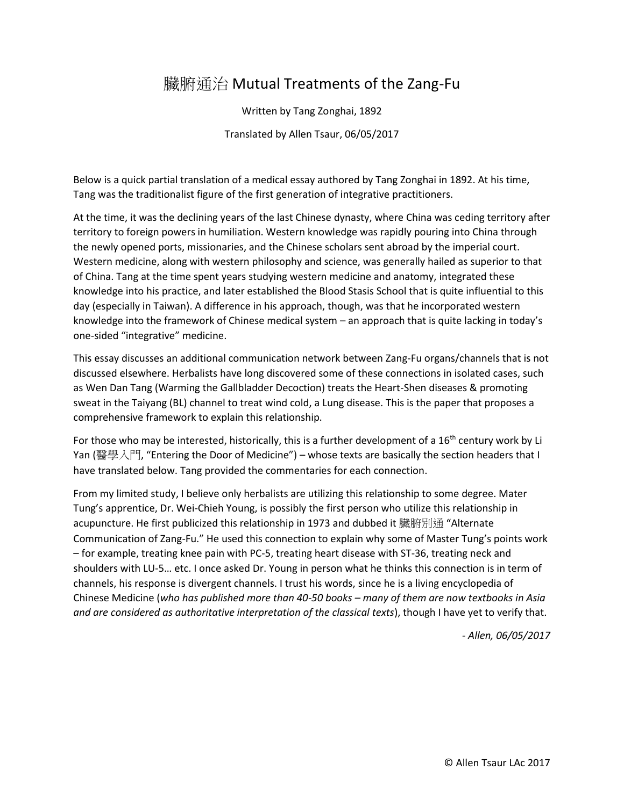# 臟腑通治 Mutual Treatments of the Zang-Fu

Written by Tang Zonghai, 1892

Translated by Allen Tsaur, 06/05/2017

Below is a quick partial translation of a medical essay authored by Tang Zonghai in 1892. At his time, Tang was the traditionalist figure of the first generation of integrative practitioners.

At the time, it was the declining years of the last Chinese dynasty, where China was ceding territory after territory to foreign powers in humiliation. Western knowledge was rapidly pouring into China through the newly opened ports, missionaries, and the Chinese scholars sent abroad by the imperial court. Western medicine, along with western philosophy and science, was generally hailed as superior to that of China. Tang at the time spent years studying western medicine and anatomy, integrated these knowledge into his practice, and later established the Blood Stasis School that is quite influential to this day (especially in Taiwan). A difference in his approach, though, was that he incorporated western knowledge into the framework of Chinese medical system – an approach that is quite lacking in today's one-sided "integrative" medicine.

This essay discusses an additional communication network between Zang-Fu organs/channels that is not discussed elsewhere. Herbalists have long discovered some of these connections in isolated cases, such as Wen Dan Tang (Warming the Gallbladder Decoction) treats the Heart-Shen diseases & promoting sweat in the Taiyang (BL) channel to treat wind cold, a Lung disease. This is the paper that proposes a comprehensive framework to explain this relationship.

For those who may be interested, historically, this is a further development of a 16<sup>th</sup> century work by Li Yan (醫學入門, "Entering the Door of Medicine") – whose texts are basically the section headers that I have translated below. Tang provided the commentaries for each connection.

From my limited study, I believe only herbalists are utilizing this relationship to some degree. Mater Tung's apprentice, Dr. Wei-Chieh Young, is possibly the first person who utilize this relationship in acupuncture. He first publicized this relationship in 1973 and dubbed it 臟腑別通 "Alternate Communication of Zang-Fu." He used this connection to explain why some of Master Tung's points work – for example, treating knee pain with PC-5, treating heart disease with ST-36, treating neck and shoulders with LU-5… etc. I once asked Dr. Young in person what he thinks this connection is in term of channels, his response is divergent channels. I trust his words, since he is a living encyclopedia of Chinese Medicine (*who has published more than 40-50 books – many of them are now textbooks in Asia and are considered as authoritative interpretation of the classical texts*), though I have yet to verify that.

*- Allen, 06/05/2017*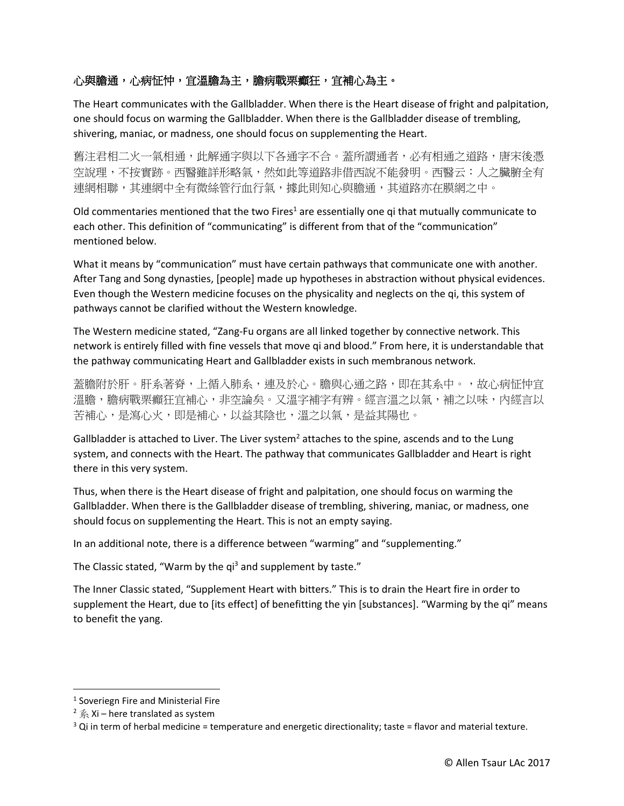# 心與膽通,心病怔忡,宜溫膽為主,膽病戰栗癲狂,宜補心為主。

The Heart communicates with the Gallbladder. When there is the Heart disease of fright and palpitation, one should focus on warming the Gallbladder. When there is the Gallbladder disease of trembling, shivering, maniac, or madness, one should focus on supplementing the Heart.

舊注君相二火一氣相通,此解通字與以下各通字不合。蓋所謂通者,必有相通之道路,唐宋後憑 空說理,不按實跡。西醫雖詳形略氣,然如此等道路非借西說不能發明。西醫云:人之臟腑全有 連網相聯,其連網中全有微絲管行血行氣,據此則知心與膽通,其道路亦在膜網之中。

Old commentaries mentioned that the two Fires<sup>1</sup> are essentially one qi that mutually communicate to each other. This definition of "communicating" is different from that of the "communication" mentioned below.

What it means by "communication" must have certain pathways that communicate one with another. After Tang and Song dynasties, [people] made up hypotheses in abstraction without physical evidences. Even though the Western medicine focuses on the physicality and neglects on the qi, this system of pathways cannot be clarified without the Western knowledge.

The Western medicine stated, "Zang-Fu organs are all linked together by connective network. This network is entirely filled with fine vessels that move qi and blood." From here, it is understandable that the pathway communicating Heart and Gallbladder exists in such membranous network.

蓋膽附於肝。肝系著脊,上循入肺系,連及於心。膽與心通之路,即在其系中。,故心病怔忡宜 溫膽,膽病戰栗癲狂宜補心,非空論矣。又溫字補字有辨。經言溫之以氣,補之以味,內經言以 苦補心,是瀉心火,即是補心,以益其陰也,溫之以氣,是益其陽也。

Gallbladder is attached to Liver. The Liver system<sup>2</sup> attaches to the spine, ascends and to the Lung system, and connects with the Heart. The pathway that communicates Gallbladder and Heart is right there in this very system.

Thus, when there is the Heart disease of fright and palpitation, one should focus on warming the Gallbladder. When there is the Gallbladder disease of trembling, shivering, maniac, or madness, one should focus on supplementing the Heart. This is not an empty saying.

In an additional note, there is a difference between "warming" and "supplementing."

The Classic stated, "Warm by the qi<sup>3</sup> and supplement by taste."

The Inner Classic stated, "Supplement Heart with bitters." This is to drain the Heart fire in order to supplement the Heart, due to [its effect] of benefitting the yin [substances]. "Warming by the qi" means to benefit the yang.

 $\overline{\phantom{a}}$ 

<sup>&</sup>lt;sup>1</sup> Soveriegn Fire and Ministerial Fire

<sup>&</sup>lt;sup>2</sup>  $\hat{\mathbb{R}}$  Xi – here translated as system

 $3$  Qi in term of herbal medicine = temperature and energetic directionality; taste = flavor and material texture.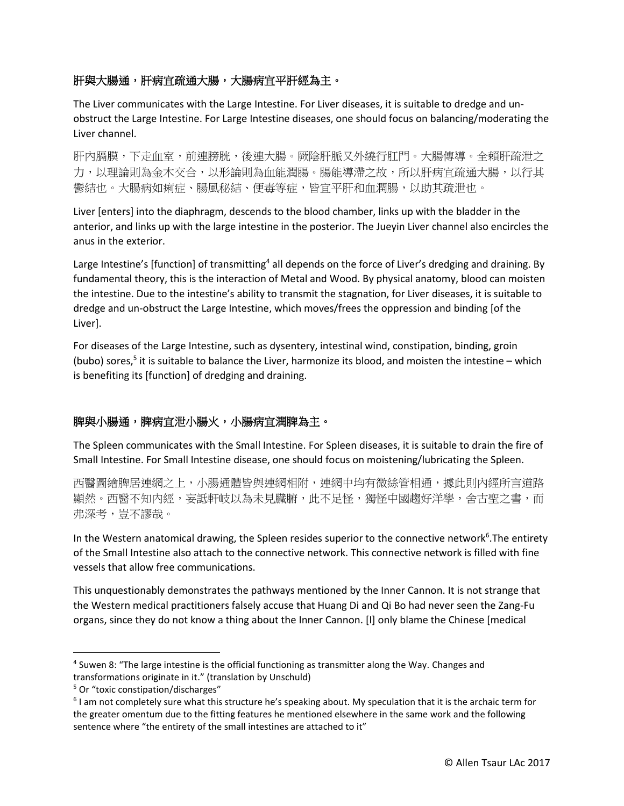## 肝與大腸通,肝病宜疏通大腸,大腸病宜平肝經為主。

The Liver communicates with the Large Intestine. For Liver diseases, it is suitable to dredge and unobstruct the Large Intestine. For Large Intestine diseases, one should focus on balancing/moderating the Liver channel.

肝內膈膜,下走血室,前連膀胱,後連大腸。厥陰肝脈又外繞行肛門。大腸傳導。全賴肝疏泄之 力,以理論則為金木交合,以形論則為血能潤腸。腸能導滯之故,所以肝病宜疏通大腸,以行其 鬱結也。大腸病如痢症、腸風秘結、便毒等症,皆宜平肝和血潤腸,以助其疏泄也。

Liver [enters] into the diaphragm, descends to the blood chamber, links up with the bladder in the anterior, and links up with the large intestine in the posterior. The Jueyin Liver channel also encircles the anus in the exterior.

Large Intestine's [function] of transmitting<sup>4</sup> all depends on the force of Liver's dredging and draining. By fundamental theory, this is the interaction of Metal and Wood. By physical anatomy, blood can moisten the intestine. Due to the intestine's ability to transmit the stagnation, for Liver diseases, it is suitable to dredge and un-obstruct the Large Intestine, which moves/frees the oppression and binding [of the Liver].

For diseases of the Large Intestine, such as dysentery, intestinal wind, constipation, binding, groin (bubo) sores,<sup>5</sup> it is suitable to balance the Liver, harmonize its blood, and moisten the intestine – which is benefiting its [function] of dredging and draining.

#### 脾與小腸通,脾病宜泄小腸火,小腸病宜潤脾為主。

The Spleen communicates with the Small Intestine. For Spleen diseases, it is suitable to drain the fire of Small Intestine. For Small Intestine disease, one should focus on moistening/lubricating the Spleen.

西醫圖繪脾居連網之上,小腸通體皆與連網相附,連網中均有微絲管相通,據此則內經所言道路 顯然。西醫不知內經,妄詆軒岐以為未見臟腑,此不足怪,獨怪中國趨好洋學,舍古聖之書,而 弗深考,豈不謬哉。

In the Western anatomical drawing, the Spleen resides superior to the connective network<sup>6</sup>. The entirety of the Small Intestine also attach to the connective network. This connective network is filled with fine vessels that allow free communications.

This unquestionably demonstrates the pathways mentioned by the Inner Cannon. It is not strange that the Western medical practitioners falsely accuse that Huang Di and Qi Bo had never seen the Zang-Fu organs, since they do not know a thing about the Inner Cannon. [I] only blame the Chinese [medical

 $\overline{a}$ 

<sup>4</sup> Suwen 8: "The large intestine is the official functioning as transmitter along the Way. Changes and transformations originate in it." (translation by Unschuld)

<sup>&</sup>lt;sup>5</sup> Or "toxic constipation/discharges"

<sup>&</sup>lt;sup>6</sup> I am not completely sure what this structure he's speaking about. My speculation that it is the archaic term for the greater omentum due to the fitting features he mentioned elsewhere in the same work and the following sentence where "the entirety of the small intestines are attached to it"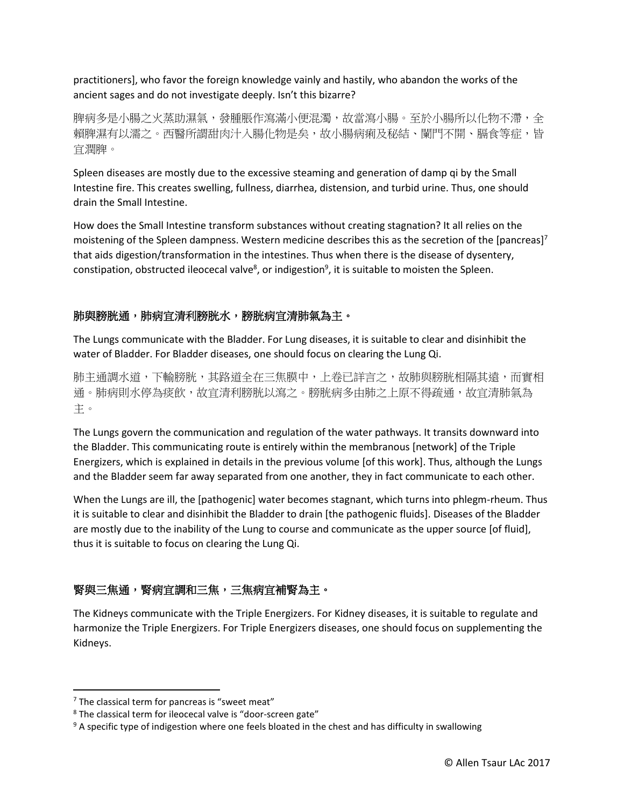practitioners], who favor the foreign knowledge vainly and hastily, who abandon the works of the ancient sages and do not investigate deeply. Isn't this bizarre?

脾病多是小腸之火蒸助濕氣,發腫脹作瀉滿小便混濁,故當瀉小腸。至於小腸所以化物不滯,全 賴脾濕有以濡之。西醫所謂甜肉汁入腸化物是矣,故小腸病痢及秘結、闌門不開、膈食等症,皆 宜潤脾。

Spleen diseases are mostly due to the excessive steaming and generation of damp qi by the Small Intestine fire. This creates swelling, fullness, diarrhea, distension, and turbid urine. Thus, one should drain the Small Intestine.

How does the Small Intestine transform substances without creating stagnation? It all relies on the moistening of the Spleen dampness. Western medicine describes this as the secretion of the [pancreas]<sup>7</sup> that aids digestion/transformation in the intestines. Thus when there is the disease of dysentery, constipation, obstructed ileocecal valve<sup>8</sup>, or indigestion<sup>9</sup>, it is suitable to moisten the Spleen.

#### 肺與膀胱通,肺病宜清利膀胱水,膀胱病宜清肺氣為主。

The Lungs communicate with the Bladder. For Lung diseases, it is suitable to clear and disinhibit the water of Bladder. For Bladder diseases, one should focus on clearing the Lung Qi.

肺主通調水道,下輸膀胱,其路道全在三焦膜中,上卷已詳言之,故肺與膀胱相隔其遠,而實相 涌。肺病則水停為痰飲,故宜清利膀胱以瀉之。膀胱病多由肺之上原不得疏通,故宜清肺氣為 主。

The Lungs govern the communication and regulation of the water pathways. It transits downward into the Bladder. This communicating route is entirely within the membranous [network] of the Triple Energizers, which is explained in details in the previous volume [of this work]. Thus, although the Lungs and the Bladder seem far away separated from one another, they in fact communicate to each other.

When the Lungs are ill, the [pathogenic] water becomes stagnant, which turns into phlegm-rheum. Thus it is suitable to clear and disinhibit the Bladder to drain [the pathogenic fluids]. Diseases of the Bladder are mostly due to the inability of the Lung to course and communicate as the upper source [of fluid], thus it is suitable to focus on clearing the Lung Qi.

#### 腎與三焦通,腎病宜調和三焦,三焦病宜補腎為主。

The Kidneys communicate with the Triple Energizers. For Kidney diseases, it is suitable to regulate and harmonize the Triple Energizers. For Triple Energizers diseases, one should focus on supplementing the Kidneys.

 $\overline{\phantom{a}}$ 

 $<sup>7</sup>$  The classical term for pancreas is "sweet meat"</sup>

<sup>&</sup>lt;sup>8</sup> The classical term for ileocecal valve is "door-screen gate"

 $9A$  specific type of indigestion where one feels bloated in the chest and has difficulty in swallowing